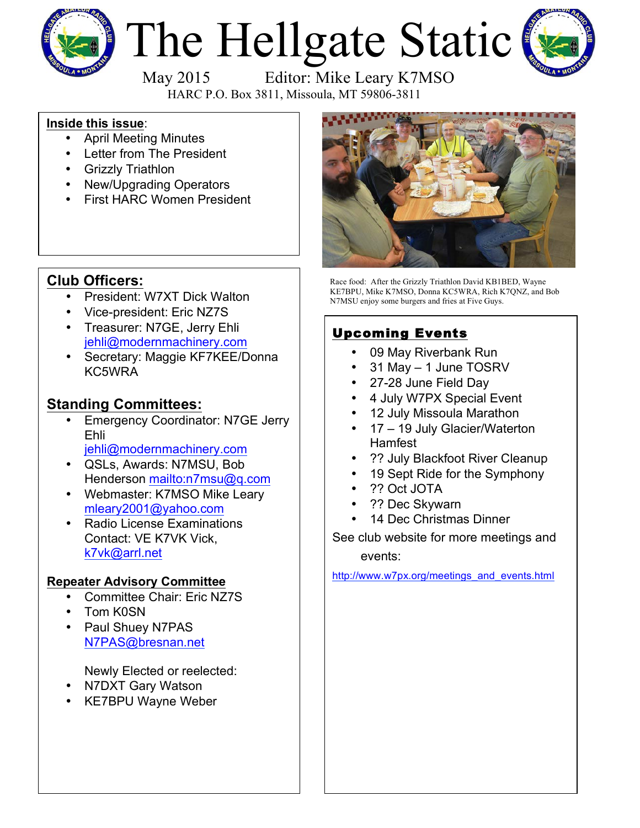

# The Hellgate Static



May 2015 Editor: Mike Leary K7MSO

HARC P.O. Box 3811, Missoula, MT 59806-3811

#### **Inside this issue**:

- April Meeting Minutes
- Letter from The President
- Grizzly Triathlon
- New/Upgrading Operators
- First HARC Women President

## **Club Officers:**

- President: W7XT Dick Walton
- Vice-president: Eric NZ7S
- Treasurer: N7GE, Jerry Ehli jehli@modernmachinery.com
- Secretary: Maggie KF7KEE/Donna KC5WRA

## **Standing Committees:**

- **Emergency Coordinator: N7GE Jerry** Ehli
	- jehli@modernmachinery.com
- QSLs, Awards: N7MSU, Bob Henderson mailto:n7msu@q.com
- Webmaster: K7MSO Mike Leary mleary2001@yahoo.com
- Radio License Examinations Contact: VE K7VK Vick, k7vk@arrl.net

#### **Repeater Advisory Committee**

- Committee Chair: Eric NZ7S
- Tom K0SN
- Paul Shuey N7PAS N7PAS@bresnan.net

Newly Elected or reelected:

- N7DXT Gary Watson
- KE7BPU Wayne Weber



Race food: After the Grizzly Triathlon David KB1BED, Wayne KE7BPU, Mike K7MSO, Donna KC5WRA, Rich K7QNZ, and Bob N7MSU enjoy some burgers and fries at Five Guys.

# Upcoming Events

- 09 May Riverbank Run
- 31 May 1 June TOSRV
- 27-28 June Field Day
- 4 July W7PX Special Event
- 12 July Missoula Marathon
- 17 19 July Glacier/Waterton Hamfest
- ?? July Blackfoot River Cleanup
- 19 Sept Ride for the Symphony
- ?? Oct JOTA
- ?? Dec Skywarn
- 14 Dec Christmas Dinner

See club website for more meetings and events:

http://www.w7px.org/meetings\_and\_events.html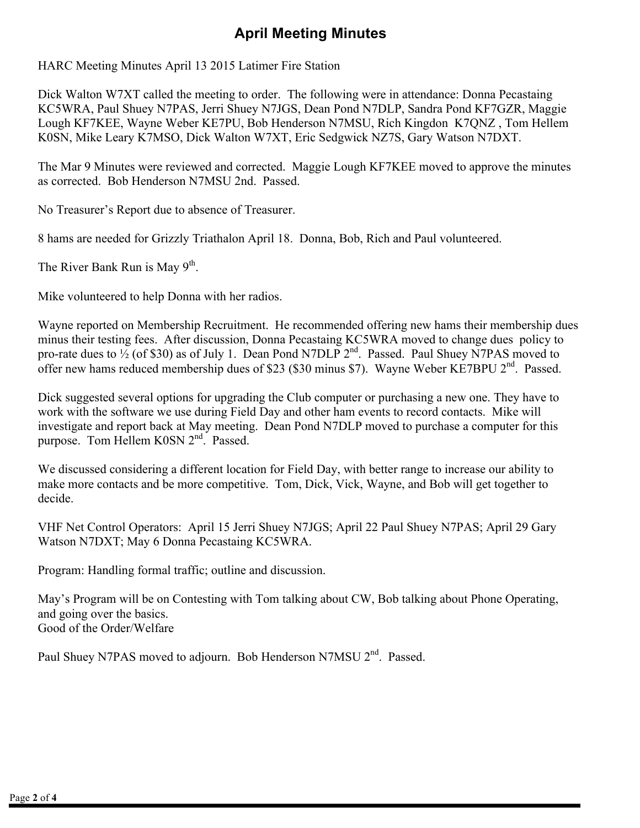# **April Meeting Minutes**

HARC Meeting Minutes April 13 2015 Latimer Fire Station

Dick Walton W7XT called the meeting to order. The following were in attendance: Donna Pecastaing KC5WRA, Paul Shuey N7PAS, Jerri Shuey N7JGS, Dean Pond N7DLP, Sandra Pond KF7GZR, Maggie Lough KF7KEE, Wayne Weber KE7PU, Bob Henderson N7MSU, Rich Kingdon K7QNZ , Tom Hellem K0SN, Mike Leary K7MSO, Dick Walton W7XT, Eric Sedgwick NZ7S, Gary Watson N7DXT.

The Mar 9 Minutes were reviewed and corrected. Maggie Lough KF7KEE moved to approve the minutes as corrected. Bob Henderson N7MSU 2nd. Passed.

No Treasurer's Report due to absence of Treasurer.

8 hams are needed for Grizzly Triathalon April 18. Donna, Bob, Rich and Paul volunteered.

The River Bank Run is May  $9<sup>th</sup>$ .

Mike volunteered to help Donna with her radios.

Wayne reported on Membership Recruitment. He recommended offering new hams their membership dues minus their testing fees. After discussion, Donna Pecastaing KC5WRA moved to change dues policy to pro-rate dues to  $\frac{1}{2}$  (of \$30) as of July 1. Dean Pond N7DLP  $2^{nd}$ . Passed. Paul Shuey N7PAS moved to offer new hams reduced membership dues of \$23 (\$30 minus \$7). Wayne Weber KE7BPU 2<sup>nd</sup>. Passed.

Dick suggested several options for upgrading the Club computer or purchasing a new one. They have to work with the software we use during Field Day and other ham events to record contacts. Mike will investigate and report back at May meeting. Dean Pond N7DLP moved to purchase a computer for this purpose. Tom Hellem K0SN 2<sup>nd</sup>. Passed.

We discussed considering a different location for Field Day, with better range to increase our ability to make more contacts and be more competitive. Tom, Dick, Vick, Wayne, and Bob will get together to decide.

VHF Net Control Operators: April 15 Jerri Shuey N7JGS; April 22 Paul Shuey N7PAS; April 29 Gary Watson N7DXT; May 6 Donna Pecastaing KC5WRA.

Program: Handling formal traffic; outline and discussion.

May's Program will be on Contesting with Tom talking about CW, Bob talking about Phone Operating, and going over the basics. Good of the Order/Welfare

Paul Shuey N7PAS moved to adjourn. Bob Henderson N7MSU 2<sup>nd</sup>. Passed.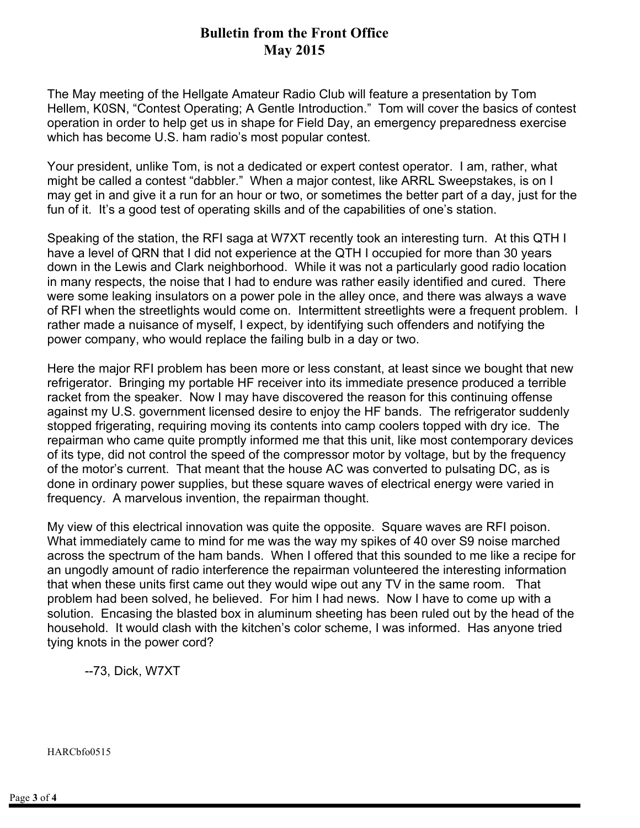#### **Bulletin from the Front Office May 2015**

The May meeting of the Hellgate Amateur Radio Club will feature a presentation by Tom Hellem, K0SN, "Contest Operating; A Gentle Introduction." Tom will cover the basics of contest operation in order to help get us in shape for Field Day, an emergency preparedness exercise which has become U.S. ham radio's most popular contest.

Your president, unlike Tom, is not a dedicated or expert contest operator. I am, rather, what might be called a contest "dabbler." When a major contest, like ARRL Sweepstakes, is on I may get in and give it a run for an hour or two, or sometimes the better part of a day, just for the fun of it. It's a good test of operating skills and of the capabilities of one's station.

Speaking of the station, the RFI saga at W7XT recently took an interesting turn. At this QTH I have a level of QRN that I did not experience at the QTH I occupied for more than 30 years down in the Lewis and Clark neighborhood. While it was not a particularly good radio location in many respects, the noise that I had to endure was rather easily identified and cured. There were some leaking insulators on a power pole in the alley once, and there was always a wave of RFI when the streetlights would come on. Intermittent streetlights were a frequent problem. I rather made a nuisance of myself, I expect, by identifying such offenders and notifying the power company, who would replace the failing bulb in a day or two.

Here the major RFI problem has been more or less constant, at least since we bought that new refrigerator. Bringing my portable HF receiver into its immediate presence produced a terrible racket from the speaker. Now I may have discovered the reason for this continuing offense against my U.S. government licensed desire to enjoy the HF bands. The refrigerator suddenly stopped frigerating, requiring moving its contents into camp coolers topped with dry ice. The repairman who came quite promptly informed me that this unit, like most contemporary devices of its type, did not control the speed of the compressor motor by voltage, but by the frequency of the motor's current. That meant that the house AC was converted to pulsating DC, as is done in ordinary power supplies, but these square waves of electrical energy were varied in frequency. A marvelous invention, the repairman thought.

My view of this electrical innovation was quite the opposite. Square waves are RFI poison. What immediately came to mind for me was the way my spikes of 40 over S9 noise marched across the spectrum of the ham bands. When I offered that this sounded to me like a recipe for an ungodly amount of radio interference the repairman volunteered the interesting information that when these units first came out they would wipe out any TV in the same room. That problem had been solved, he believed. For him I had news. Now I have to come up with a solution. Encasing the blasted box in aluminum sheeting has been ruled out by the head of the household. It would clash with the kitchen's color scheme, I was informed. Has anyone tried tying knots in the power cord?

--73, Dick, W7XT

HARCbfo0515